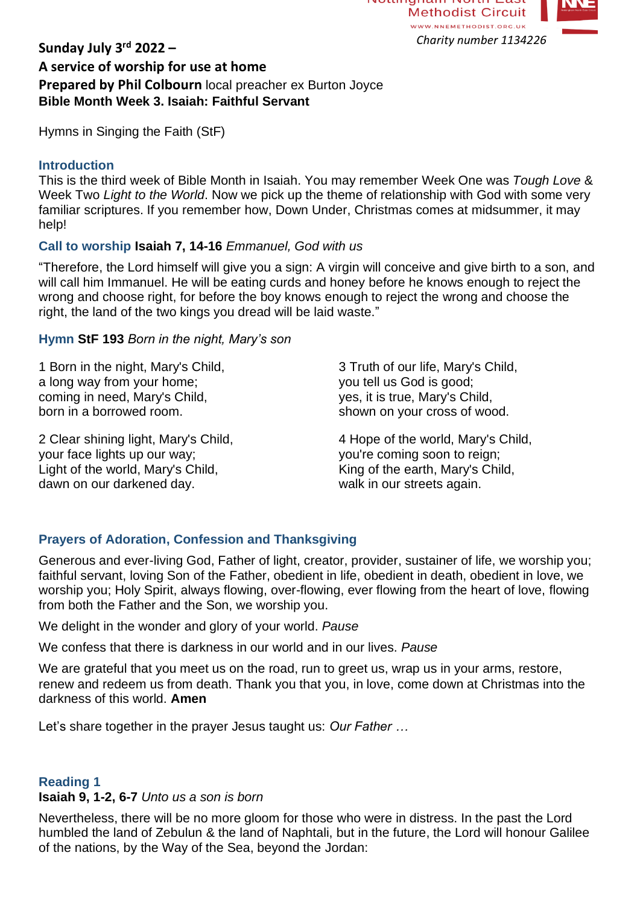

# **Sunday July 3rd 2022 – A service of worship for use at home Prepared by Phil Colbourn** local preacher ex Burton Joyce **Bible Month Week 3. Isaiah: Faithful Servant**

Hymns in Singing the Faith (StF)

### **Introduction**

This is the third week of Bible Month in Isaiah. You may remember Week One was *Tough Love* & Week Two *Light to the World*. Now we pick up the theme of relationship with God with some very familiar scriptures. If you remember how, Down Under, Christmas comes at midsummer, it may help!

### **Call to worship Isaiah 7, 14-16** *Emmanuel, God with us*

"Therefore, the Lord himself will give you a sign: A virgin will conceive and give birth to a son, and will call him Immanuel. He will be eating curds and honey before he knows enough to reject the wrong and choose right, for before the boy knows enough to reject the wrong and choose the right, the land of the two kings you dread will be laid waste."

#### **Hymn StF 193** *Born in the night, Mary's son*

1 Born in the night, Mary's Child, a long way from your home; coming in need, Mary's Child, born in a borrowed room.

2 Clear shining light, Mary's Child, your face lights up our way; Light of the world, Mary's Child, dawn on our darkened day.

3 Truth of our life, Mary's Child, you tell us God is good; yes, it is true, Mary's Child, shown on your cross of wood.

4 Hope of the world, Mary's Child, you're coming soon to reign; King of the earth, Mary's Child, walk in our streets again.

## **Prayers of Adoration, Confession and Thanksgiving**

Generous and ever-living God, Father of light, creator, provider, sustainer of life, we worship you; faithful servant, loving Son of the Father, obedient in life, obedient in death, obedient in love, we worship you; Holy Spirit, always flowing, over-flowing, ever flowing from the heart of love, flowing from both the Father and the Son, we worship you.

We delight in the wonder and glory of your world. *Pause*

We confess that there is darkness in our world and in our lives. *Pause*

We are grateful that you meet us on the road, run to greet us, wrap us in your arms, restore, renew and redeem us from death. Thank you that you, in love, come down at Christmas into the darkness of this world. **Amen**

Let's share together in the prayer Jesus taught us: *Our Father …*

#### **Reading 1 Isaiah 9, 1-2, 6-7** *Unto us a son is born*

Nevertheless, there will be no more gloom for those who were in distress. In the past the Lord humbled the land of Zebulun & the land of Naphtali, but in the future, the Lord will honour Galilee of the nations, by the Way of the Sea, beyond the Jordan: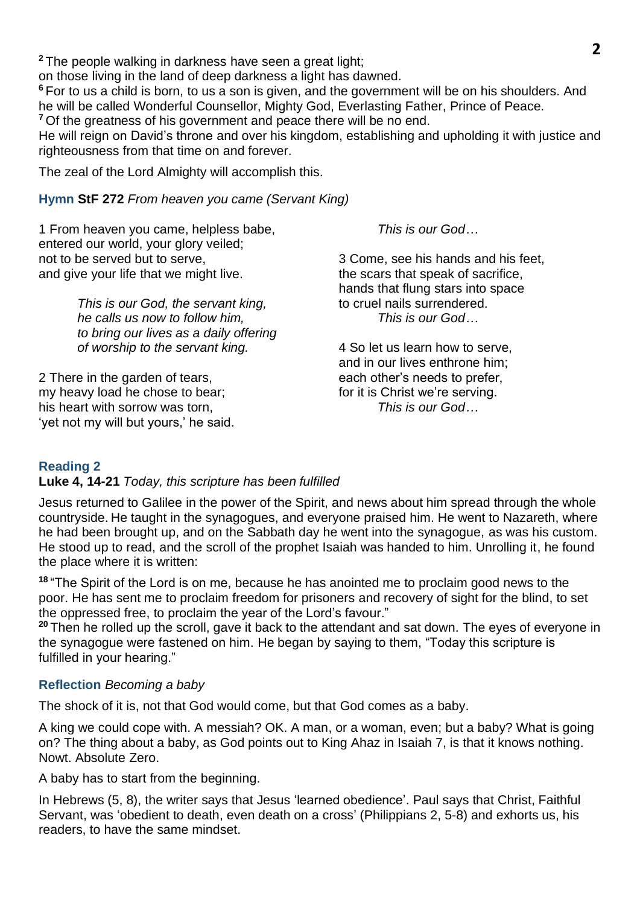**<sup>2</sup>** The people walking in darkness have seen a great light; on those living in the land of deep darkness a light has dawned. **<sup>6</sup>** For to us a child is born, to us a son is given, and the government will be on his shoulders. And he will be called Wonderful Counsellor, Mighty God, Everlasting Father, Prince of Peace. <sup>7</sup> Of the greatness of his government and peace there will be no end. He will reign on David's throne and over his kingdom, establishing and upholding it with justice and righteousness from that time on and forever.

The zeal of the Lord Almighty will accomplish this.

**Hymn StF 272** *From heaven you came (Servant King)*

1 From heaven you came, helpless babe, entered our world, your glory veiled; not to be served but to serve, and give your life that we might live.

> *This is our God, the servant king, he calls us now to follow him, to bring our lives as a daily offering of worship to the servant king.*

2 There in the garden of tears, my heavy load he chose to bear; his heart with sorrow was torn, 'yet not my will but yours,' he said. *This is our God…*

3 Come, see his hands and his feet, the scars that speak of sacrifice, hands that flung stars into space to cruel nails surrendered. *This is our God…*

4 So let us learn how to serve, and in our lives enthrone him; each other's needs to prefer, for it is Christ we're serving. *This is our God…*

# **Reading 2**

## **Luke 4, 14-21** *Today, this scripture has been fulfilled*

Jesus returned to Galilee in the power of the Spirit, and news about him spread through the whole countryside. He taught in the synagogues, and everyone praised him. He went to Nazareth, where he had been brought up, and on the Sabbath day he went into the synagogue, as was his custom. He stood up to read, and the scroll of the prophet Isaiah was handed to him. Unrolling it, he found the place where it is written:

**<sup>18</sup>** "The Spirit of the Lord is on me, because he has anointed me to proclaim good news to the poor. He has sent me to proclaim freedom for prisoners and recovery of sight for the blind, to set the oppressed free, to proclaim the year of the Lord's favour."

**<sup>20</sup>** Then he rolled up the scroll, gave it back to the attendant and sat down. The eyes of everyone in the synagogue were fastened on him. He began by saying to them, "Today this scripture is fulfilled in your hearing."

## **Reflection** *Becoming a baby*

The shock of it is, not that God would come, but that God comes as a baby.

A king we could cope with. A messiah? OK. A man, or a woman, even; but a baby? What is going on? The thing about a baby, as God points out to King Ahaz in Isaiah 7, is that it knows nothing. Nowt. Absolute Zero.

A baby has to start from the beginning.

In Hebrews (5, 8), the writer says that Jesus 'learned obedience'. Paul says that Christ, Faithful Servant, was 'obedient to death, even death on a cross' (Philippians 2, 5-8) and exhorts us, his readers, to have the same mindset.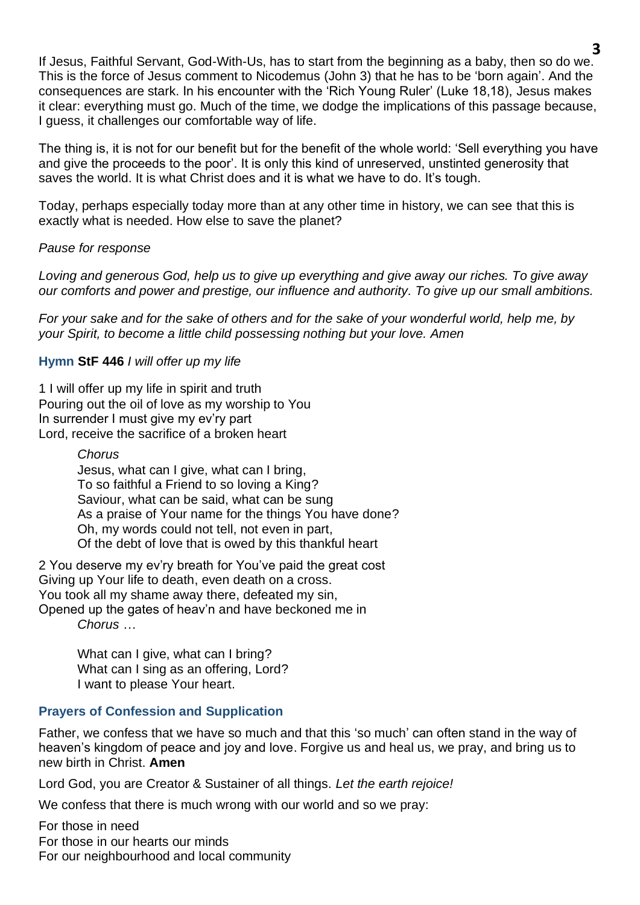If Jesus, Faithful Servant, God-With-Us, has to start from the beginning as a baby, then so do we. This is the force of Jesus comment to Nicodemus (John 3) that he has to be 'born again'. And the consequences are stark. In his encounter with the 'Rich Young Ruler' (Luke 18,18), Jesus makes it clear: everything must go. Much of the time, we dodge the implications of this passage because, I guess, it challenges our comfortable way of life.

The thing is, it is not for our benefit but for the benefit of the whole world: 'Sell everything you have and give the proceeds to the poor'. It is only this kind of unreserved, unstinted generosity that saves the world. It is what Christ does and it is what we have to do. It's tough.

Today, perhaps especially today more than at any other time in history, we can see that this is exactly what is needed. How else to save the planet?

#### *Pause for response*

*Loving and generous God, help us to give up everything and give away our riches. To give away our comforts and power and prestige, our influence and authority. To give up our small ambitions.* 

*For your sake and for the sake of others and for the sake of your wonderful world, help me, by your Spirit, to become a little child possessing nothing but your love. Amen*

## **Hymn StF 446** *I will offer up my life*

1 I will offer up my life in spirit and truth Pouring out the oil of love as my worship to You In surrender I must give my ev'ry part Lord, receive the sacrifice of a broken heart

> *Chorus* Jesus, what can I give, what can I bring, To so faithful a Friend to so loving a King? Saviour, what can be said, what can be sung As a praise of Your name for the things You have done? Oh, my words could not tell, not even in part, Of the debt of love that is owed by this thankful heart

2 You deserve my ev'ry breath for You've paid the great cost Giving up Your life to death, even death on a cross. You took all my shame away there, defeated my sin, Opened up the gates of heav'n and have beckoned me in

*Chorus …*

What can I give, what can I bring? What can I sing as an offering, Lord? I want to please Your heart.

## **Prayers of Confession and Supplication**

Father, we confess that we have so much and that this 'so much' can often stand in the way of heaven's kingdom of peace and joy and love. Forgive us and heal us, we pray, and bring us to new birth in Christ. **Amen**

Lord God, you are Creator & Sustainer of all things. *Let the earth rejoice!*

We confess that there is much wrong with our world and so we pray:

For those in need For those in our hearts our minds For our neighbourhood and local community